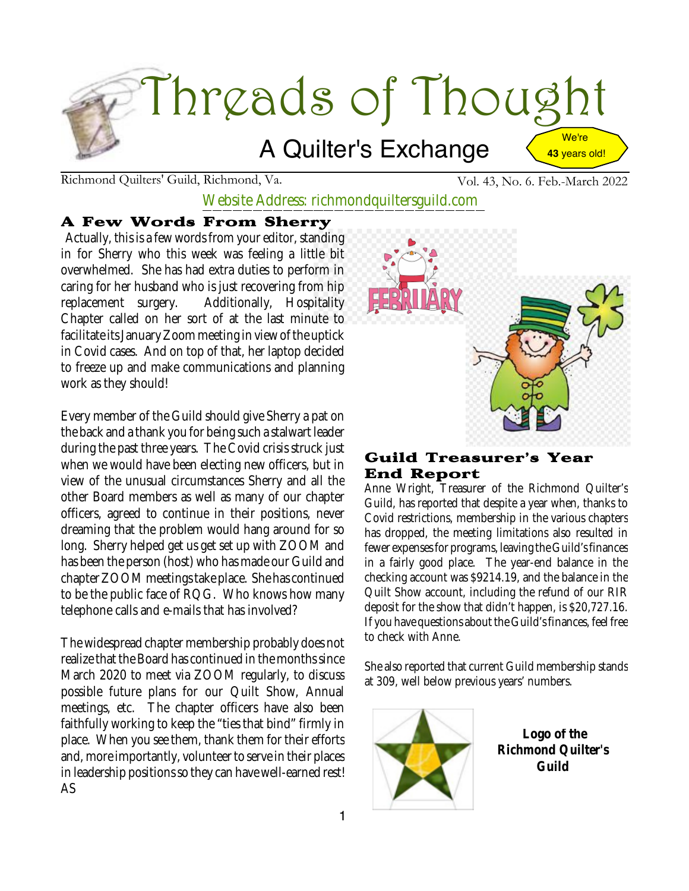

Richmond Quilters' Guild, Richmond, Va. Vol. 43, No. 6. Feb.-March 2022

Website Address: richmondquiltersguild.com

#### A Few Words From Sherry

Actually, this is a few words from youreditor, standing in for Sherry who this week was feeling a little bit overwhelmed. She has had extra duties to perform in caring for her husband who is just recovering from hip replacement surgery. Additionally, Hospitality Chapter called on her sort of at the last minute to facilitate its January Zoom meeting in view of the uptick in Covid cases. And on top of that, her laptop decided to freeze up and make communications and planning work as they should!

Every member of the Guild should give Sherry a pat on the back and a thank you for being such a stalwart leader during the past three years. The Covid crisis struck just when we would have been electing new officers, but in view of the unusual circumstances Sherry and all the other Board members as well as many of our chapter officers, agreed to continue in their positions, never dreaming that the problem would hang around for so long. Sherry helped get us get set up with ZOOM and has been the person (host) who has made our Guild and chapter ZOOM meetings take place. She has continued to be the public face of RQG. Who knows how many telephone calls and e-mails that has involved?

The widespread chapter membership probably does not realize that the Board has continued in the months since March 2020 to meet via ZOOM regularly, to discuss possible future plans for our Quilt Show, Annual meetings, etc. The chapter officers have also been faithfully working to keep the "ties that bind" firmly in place. When you see them, thank them for their efforts and, more importantly, volunteer to serve in their places in leadership positions so they can have well-earned rest! AS



#### Guild Treasurer's Year End Report

Anne Wright, Treasurer of the Richmond Quilter's Guild, has reported that despite a year when, thanks to Covid restrictions, membership in the various chapters has dropped, the meeting limitations also resulted in fewer expenses for programs, leaving the Guild's finances in a fairly good place. The year-end balance in the checking account was \$9214.19, and the balance in the Quilt Show account, including the refund of our RIR deposit for the show that didn't happen, is \$20,727.16. If you have questions about the Guild's finances, feel free to check with Anne.

She also reported that current Guild membership stands at 309, well below previous years' numbers.



**Logo of the Richmond Quilter's Guild**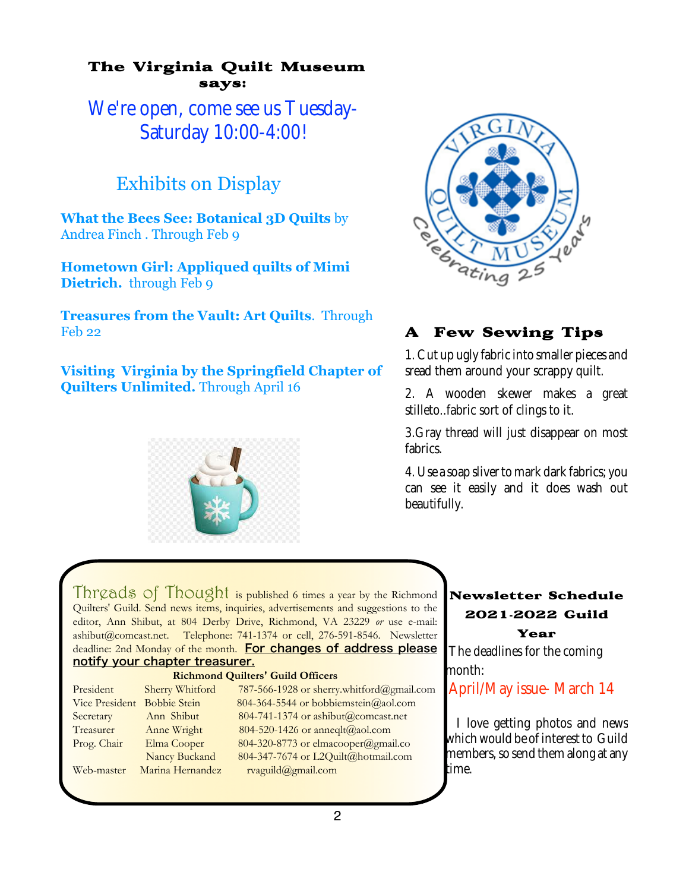#### The Virginia Quilt Museum says:

We're open, come see us Tuesday-Saturday 10:00-4:00!

## Exhibits on Display

**What the Bees See: Botanical 3D Quilts** by Andrea Finch . Through Feb 9

**Hometown Girl: Appliqued quilts of Mimi Dietrich.** through Feb 9

**Treasures from the Vault: Art Quilts**. Through Feb 22

**Visiting Virginia by the Springfield Chapter of Quilters Unlimited.** Through April 16





### A Few Sewing Tips

1.Cut up ugly fabric into smaller pieces and sread them around your scrappy quilt.

2. A wooden skewer makes a great stilleto..fabric sort of clings to it.

3.Gray thread will just disappear on most fabrics.

4. Use a soap sliver to mark dark fabrics; you can see it easily and it does wash out beautifully.

Threads of Thought is published 6 times a year by the Richmond Quilters' Guild. Send news items, inquiries, advertisements and suggestions to the editor, Ann Shibut, at 804 Derby Drive, Richmond, VA 23229 *or* use e-mail: ashibut@comcast.net. Telephone: 741-1374 or cell, 276-591-8546. Newsletter deadline: 2nd Monday of the month. For changes of address please notify your chapter treasurer.

#### **Richmond Quilters' Guild Officers**

President Sherry Whitford 787-566-1928 or sherry.whitford@gmail.com Vice President Bobbie Stein 804-364-5544 or bobbiemstein@aol.com Secretary Ann Shibut 804-741-1374 or ashibut@comcast.net Treasurer Anne Wright 804-520-1426 or anneqlt@aol.com Prog. Chair Elma Cooper 804-320-8773 or elmacooper@gmail.co Nancy Buckand 804-347-7674 or L2Quilt@hotmail.com Web-master Marina Hernandez rvaguild@gmail.com

#### Newsletter Schedule 2021**-**2022 Guild Year

The deadlines for the coming month:

April/May issue- March 14

I love getting photos and news which would be of interest to Guild members, so send them along at any time.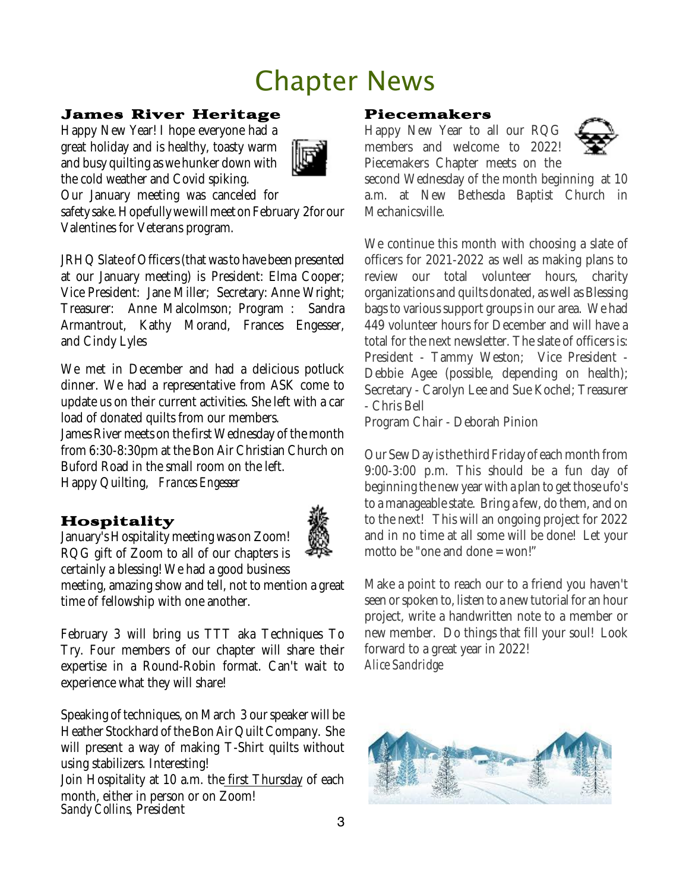# Chapter News

#### James River Heritage

Happy New Year! I hope everyone had a great holiday and is healthy, toasty warm and busy quilting as we hunker down with the cold weather and Covid spiking.



Our January meeting was canceled for

safety sake. Hopefully we will meet on February 2for our Valentines for Veterans program.

JRHQ Slate of Officers (that was to have been presented at our January meeting) is President: Elma Cooper; Vice President: Jane Miller; Secretary: Anne Wright; Treasurer: Anne Malcolmson; Program : Sandra Armantrout, Kathy Morand, Frances Engesser, and Cindy Lyles

We met in December and had a delicious potluck dinner. We had a representative from ASK come to update us on their current activities. She left with a car load of donated quilts from our members.

James River meets on the first Wednesday of the month from 6:30-8:30pm at the Bon Air Christian Church on Buford Road in the small room on the left. Happy Quilting, *Frances Engesser*

#### Hospitality

January's Hospitality meeting was on Zoom! RQG gift of Zoom to all of our chapters is certainly a blessing! We had a good business



meeting, amazing show and tell, not to mention a great time of fellowship with one another.

February 3 will bring us TTT aka Techniques To Try. Four members of our chapter will share their expertise in a Round-Robin format. Can't wait to experience what they will share!

Speaking of techniques, on March 3 our speaker will be Heather Stockhard of the Bon Air Quilt Company. She will present a way of making T-Shirt quilts without using stabilizers. Interesting! Join Hospitality at 10 a.m. the first Thursday of each month, either in person or on Zoom! *Sandy Collins*, President

#### Piecemakers

Happy New Year to all our RQG members and welcome to 2022! Piecemakers Chapter meets on the



second Wednesday of the month beginning at 10 a.m. at New Bethesda Baptist Church in Mechanicsville.

We continue this month with choosing a slate of officers for 2021-2022 as well as making plans to review our total volunteer hours, charity organizations and quilts donated, as well as Blessing bags to various support groups in our area. We had 449 volunteer hours for December and will have a total for the next newsletter. The slate of officers is: President - Tammy Weston; Vice President - Debbie Agee (possible, depending on health); Secretary - Carolyn Lee and Sue Kochel; Treasurer - Chris Bell

Program Chair - Deborah Pinion

Our Sew Day is the third Friday of each month from 9:00-3:00 p.m. This should be a fun day of beginning the new year with a plan to get those ufo's to a manageablestate. Bring a few, do them, and on to the next! This will an ongoing project for 2022 and in no time at all some will be done! Let your motto be "one and done = won!"

Make a point to reach our to a friend you haven't seen or spoken to, listen to a new tutorial for an hour project, write a handwritten note to a member or new member. Do things that fill your soul! Look forward to a great year in 2022! *Alice Sandridge*

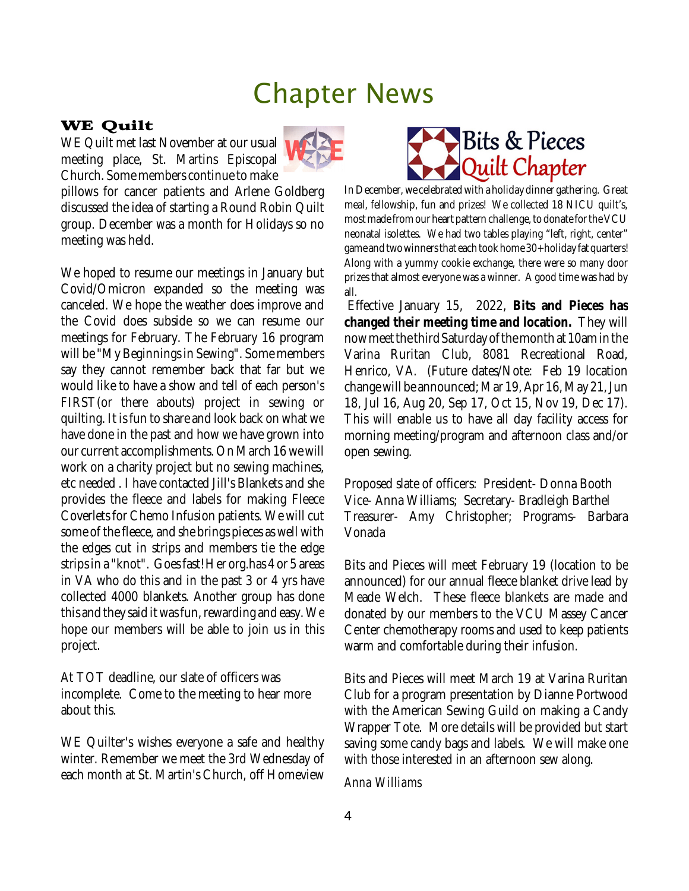## Chapter News

#### WE Quilt

WE Quilt met last November at our usual meeting place, St. Martins Episcopal Church. Some members continue to make



pillows for cancer patients and Arlene Goldberg discussed the idea of starting a Round Robin Quilt group. December was a month for Holidays so no meeting was held.

We hoped to resume our meetings in January but Covid/Omicron expanded so the meeting was canceled. We hope the weather does improve and the Covid does subside so we can resume our meetings for February. The February 16 program will be "My Beginnings in Sewing". Some members say they cannot remember back that far but we would like to have a show and tell of each person's FIRST(or there abouts) project in sewing or quilting. It is fun to share and look back on what we have done in the past and how we have grown into our current accomplishments.On March 16wewill work on a charity project but no sewing machines, etc needed . I have contacted Jill's Blankets and she provides the fleece and labels for making Fleece Coverlets for Chemo Infusion patients. We will cut some of the fleece, and she brings pieces as well with the edges cut in strips and members tie the edge strips in a "knot". Goes fast! Her org.has 4 or 5 areas in VA who do this and in the past 3 or 4 yrs have collected 4000 blankets. Another group has done this and they said it was fun, rewarding and easy. We hope our members will be able to join us in this project.

At TOT deadline, our slate of officers was incomplete. Come to the meeting to hear more about this.

WE Quilter's wishes everyone a safe and healthy winter. Remember we meet the 3rd Wednesday of each month at St. Martin's Church, off Homeview



In December, we celebrated with a holiday dinner gathering. Great meal, fellowship, fun and prizes! We collected 18 NICU quilt's, most made from our heart pattern challenge, to donate for the VCU neonatal isolettes. We had two tables playing "left, right, center" game and two winners that each took home 30+ holiday fat quarters! Along with a yummy cookie exchange, there were so many door prizes that almost everyone was a winner. A good time was had by all.

Effective January 15, 2022, **Bits and Pieces has changed their meeting time and location.** They will now meet the third Saturday of the month at 10am in the Varina Ruritan Club, 8081 Recreational Road, Henrico, VA. (Future dates/Note: Feb 19 location change will be announced; Mar 19, Apr 16, May 21, Jun 18, Jul 16, Aug 20, Sep 17, Oct 15, Nov 19, Dec 17). This will enable us to have all day facility access for morning meeting/program and afternoon class and/or open sewing.

Proposed slate of officers: President- Donna Booth Vice- Anna Williams; Secretary- Bradleigh Barthel Treasurer- Amy Christopher; Programs- Barbara Vonada

Bits and Pieces will meet February 19 (location to be announced) for our annual fleece blanket drive lead by Meade Welch. These fleece blankets are made and donated by our members to the VCU Massey Cancer Center chemotherapy rooms and used to keep patients warm and comfortable during their infusion.

Bits and Pieces will meet March 19 at Varina Ruritan Club for a program presentation by Dianne Portwood with the American Sewing Guild on making a Candy Wrapper Tote. More details will be provided but start saving some candy bags and labels. We will make one with those interested in an afternoon sew along.

*Anna Williams*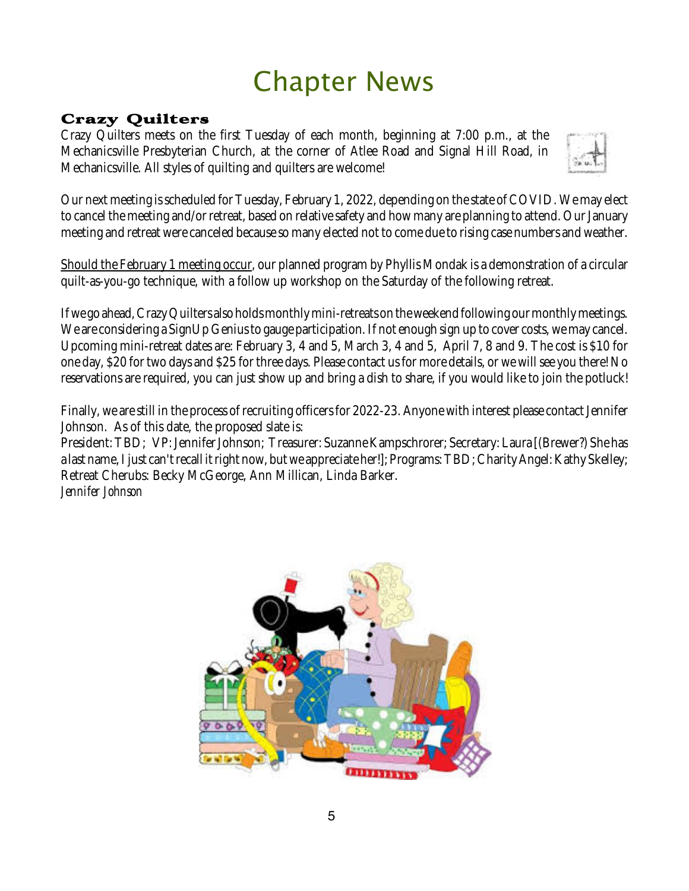# Chapter News

### Crazy Quilters

Crazy Quilters meets on the first Tuesday of each month, beginning at 7:00 p.m., at the Mechanicsville Presbyterian Church, at the corner of Atlee Road and Signal Hill Road, in Mechanicsville. All styles of quilting and quilters are welcome!



Our next meeting is scheduled for Tuesday, February 1, 2022, depending on the state of COVID. We may elect to cancel the meeting and/or retreat, based on relative safety and how many are planning to attend. Our January meeting and retreat were canceled because so many elected not to come due to rising case numbers and weather.

Should the February 1 meeting occur, our planned program by Phyllis Mondak is a demonstration of a circular quilt-as-you-go technique, with a follow up workshop on the Saturday of the following retreat.

Ifwe go ahead,CrazyQuilters also holdsmonthlymini-retreats on theweekend following ourmonthlymeetings. We are considering a SignUp Genius to gauge participation. If not enough sign up to cover costs, we may cancel. Upcoming mini-retreat dates are: February 3, 4 and 5, March 3, 4 and 5, April 7, 8 and 9. The cost is \$10 for one day, \$20 for two days and \$25 for three days. Please contact us for more details, or we will see you there! No reservations are required, you can just show up and bring a dish to share, if you would like to join the potluck!

Finally, we arestill in the process of recruiting officers for 2022-23. Anyone with interest please contact Jennifer Johnson. As of this date, the proposed slate is:

President: TBD; VP: Jennifer Johnson; Treasurer: Suzanne Kampschrorer; Secretary: Laura [(Brewer?) She has a last name, I just can't recall it right now, but we appreciate her!]; Programs: TBD; Charity Angel: Kathy Skelley; Retreat Cherubs: Becky McGeorge, Ann Millican, Linda Barker. *Jennifer Johnson*